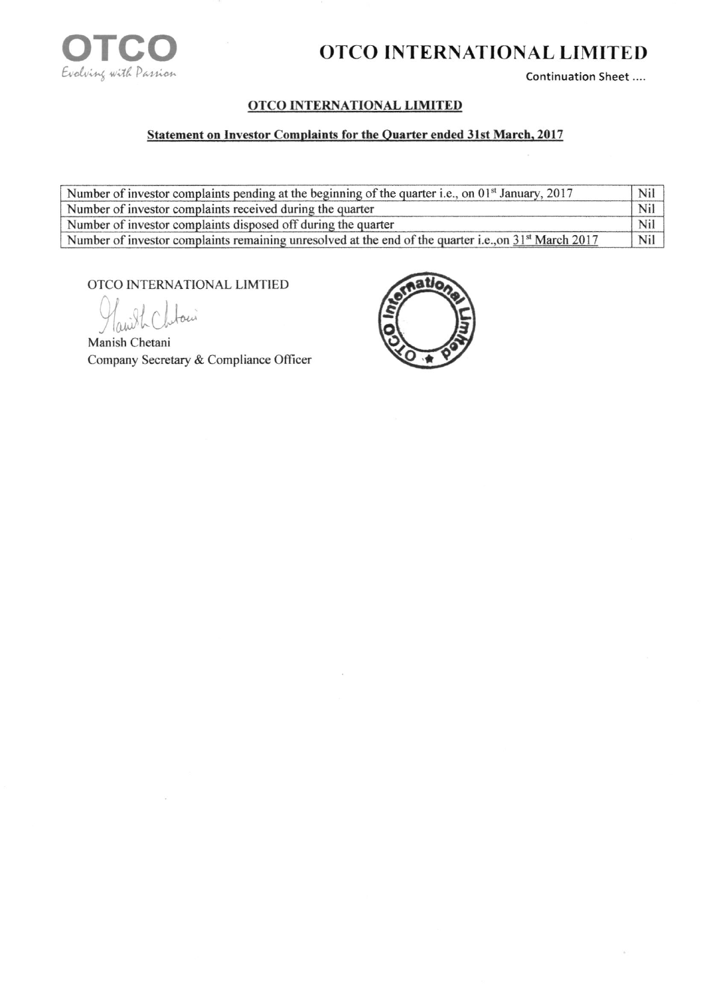

## OTCO INTERNATIONAL LIMITED

Continuation Sheet ....

## **OTCO INTERNATIONAL LIMITED**

## **Statement on Investor Complaints for the Quarter ended 31st March, 2017**

| Number of investor complaints pending at the beginning of the quarter i.e., on $01st$ January, 2017     | Nil |
|---------------------------------------------------------------------------------------------------------|-----|
| Number of investor complaints received during the quarter                                               | Nil |
| Number of investor complaints disposed off during the quarter                                           | Nil |
| Number of investor complaints remaining unresolved at the end of the quarter i.e., on $31st$ March 2017 | Nil |

OTCO INTERNATIONAL LIMTIED

 $\overline{\omega}$ 

Manish Chetani Company Secretary & Compliance Officer